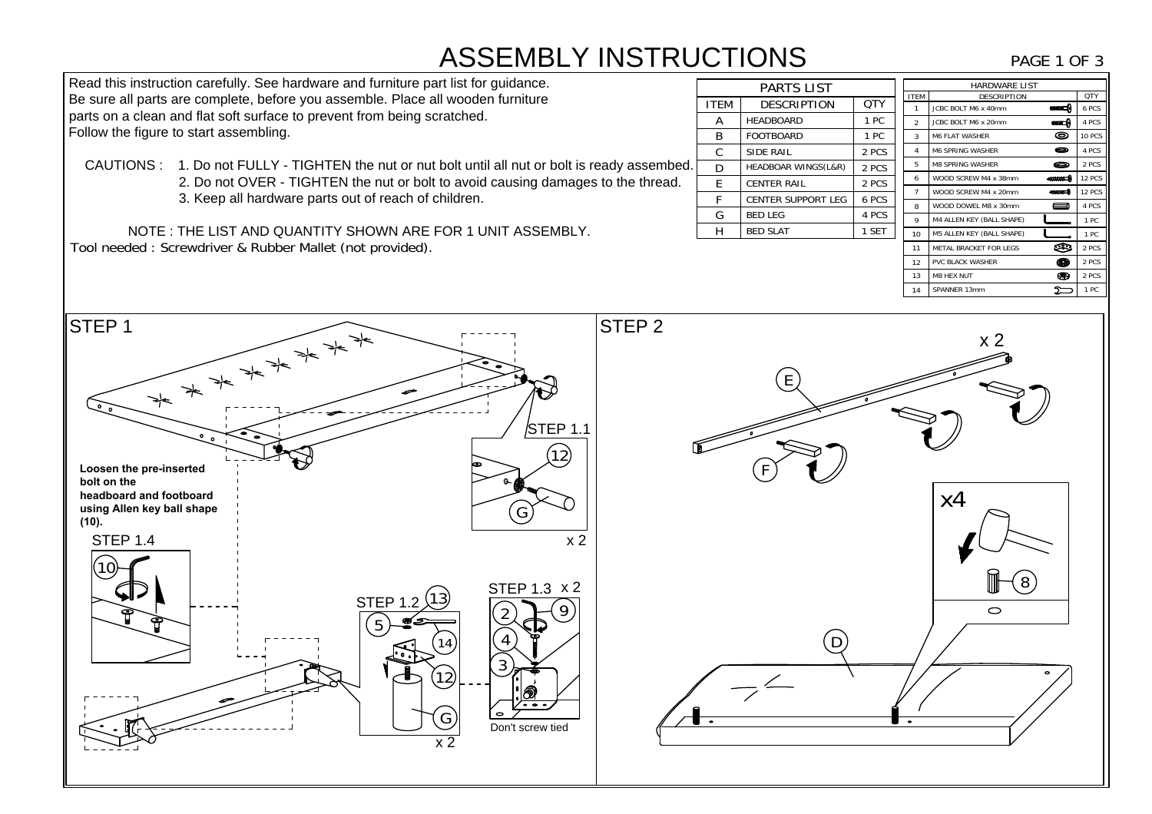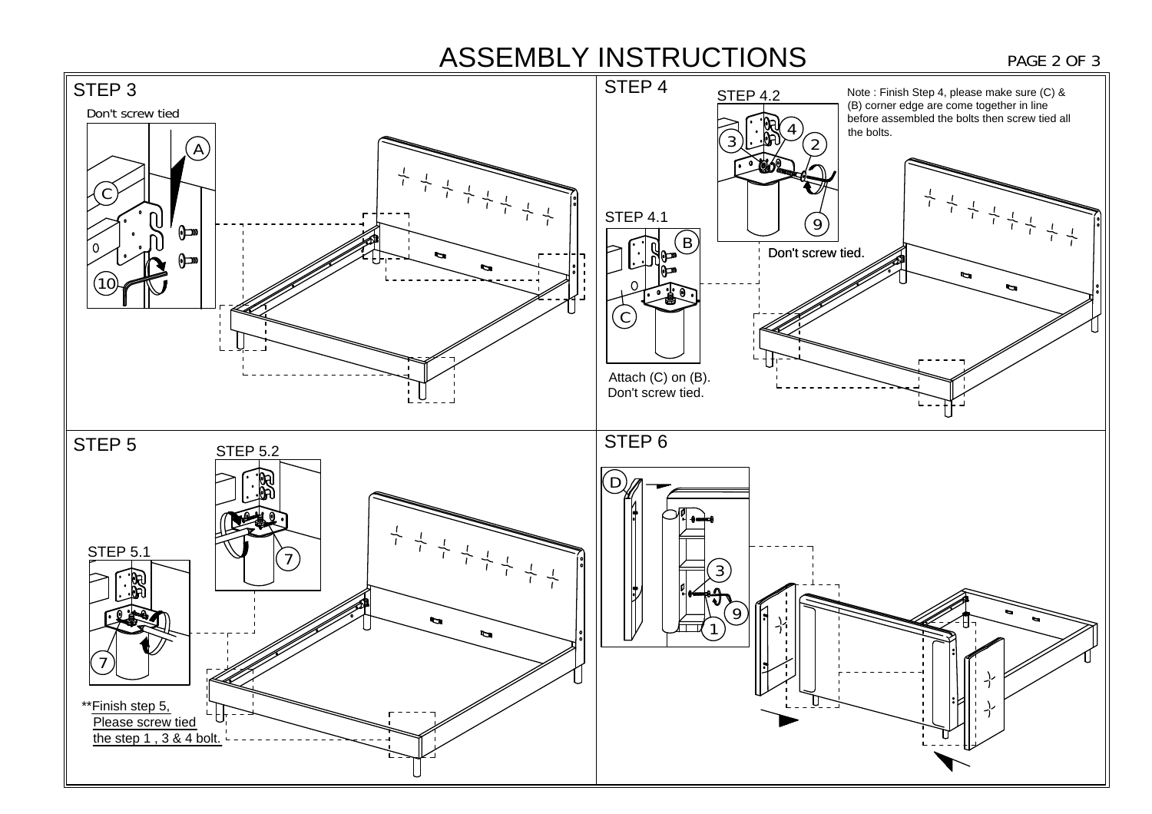# ASSEMBLY INSTRUCTIONS PAGE 2 OF 3